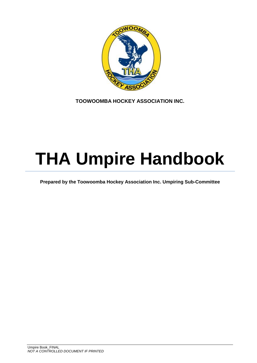

**TOOWOOMBA HOCKEY ASSOCIATION INC.**

# **THA Umpire Handbook**

**Prepared by the Toowoomba Hockey Association Inc. Umpiring Sub-Committee**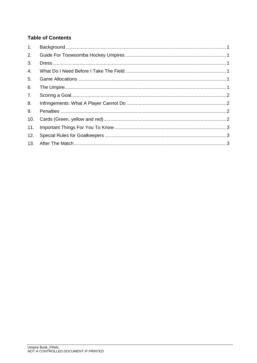## **Table of Contents**

| 1.  |  |
|-----|--|
| 2.  |  |
| 3.  |  |
| 4.  |  |
| 5.  |  |
| 6.  |  |
| 7.  |  |
| 8.  |  |
| 9.  |  |
| 10. |  |
| 11. |  |
| 12. |  |
| 13. |  |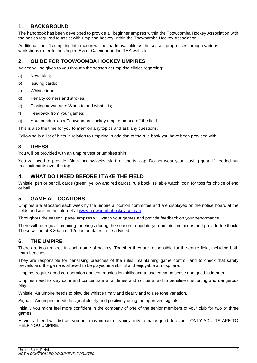## <span id="page-3-0"></span>**1. BACKGROUND**

The handbook has been developed to provide all beginner umpires within the Toowoomba Hockey Association with the basics required to assist with umpiring hockey within the Toowoomba Hockey Association.

Additional specific umpiring information will be made available as the season progresses through various workshops (refer to the Umpire Event Calendar on the THA website).

## <span id="page-3-1"></span>**2. GUIDE FOR TOOWOOMBA HOCKEY UMPIRES**

Advice will be given to you through the season at umpiring clinics regarding:

- a) New rules;
- b) Issuing cards;
- c) Whistle tone;
- d) Penalty corners and strokes;
- e) Playing advantage: When to and what it is;
- f) Feedback from your games;
- g) Your conduct as a Toowoomba Hockey umpire on and off the field.

This is also the time for you to mention any topics and ask any questions.

Following is a list of hints in relation to umpiring in addition to the rule book you have been provided with.

#### <span id="page-3-2"></span>**3. DRESS**

You will be provided with an umpire vest or umpires shirt.

You will need to provide: Black pants/slacks, skirt, or shorts, cap. Do not wear your playing gear. If needed put tracksuit pants over the top.

#### <span id="page-3-3"></span>**4. WHAT DO I NEED BEFORE I TAKE THE FIELD**

Whistle, pen or pencil, cards (green, yellow and red cards), rule book, reliable watch, coin for toss for choice of end or ball.

#### <span id="page-3-4"></span>**5. GAME ALLOCATIONS**

Umpires are allocated each week by the umpire allocation committee and are displayed on the notice board at the fields and are on the internet at [www.toowoombahockey.com.au.](http://www.toowoombahockey.com.au/)

Throughout the season, panel umpires will watch your games and provide feedback on your performance.

There will be regular umpiring meetings during the season to update you on interpretations and provide feedback. These will be at 8:30am or 12noon on dates to be advised.

#### <span id="page-3-5"></span>**6. THE UMPIRE**

There are two umpires in each game of hockey. Together they are responsible for the entire field, including both team benches.

They are responsible for penalising breaches of the rules, maintaining game control, and to check that safety prevails and the game is allowed to be played in a skillful and enjoyable atmosphere.

Umpires require good co-operation and communication skills and to use common sense and good judgement.

Umpires need to stay calm and concentrate at all times and not be afraid to penalise unsporting and dangerous play.

Whistle: An umpire needs to blow the whistle firmly and clearly and to use tone variation.

Signals: An umpire needs to signal clearly and positively using the approved signals.

Initially you might feel more confident in the company of one of the senior members of your club for two or three games.

Having a friend will distract you and may impact on your ability to make good decisions. ONLY ADULTS ARE TO HELP YOU UMPIRE.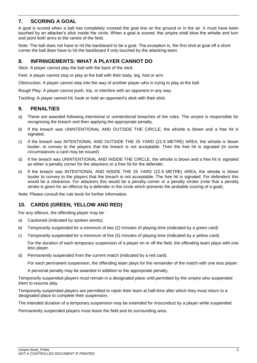## <span id="page-4-0"></span>**7. SCORING A GOAL**

A goal is scored when a ball has completely crossed the goal line on the ground or in the air. It must have been touched by an attacker's stick inside the circle. When a goal is scored, the umpire shall blow the whistle and turn and point both arms to the centre of the field.

Note: The ball does not have to hit the backboard to be a goal. The exception is, the first shot at goal off a short corner the ball does have to hit the backboard if only touched by the attacking team.

## <span id="page-4-1"></span>**8. INFRINGEMENTS: WHAT A PLAYER CANNOT DO**

Stick: A player cannot play the ball with the back of the stick.

Feet: A player cannot stop or play at the ball with their body, leg, foot or arm.

Obstruction: A player cannot step into the way of another player who is trying to play at the ball.

Rough Play: A player cannot push, trip, or interfere with an opponent in any way.

Tackling: A player cannot hit, hook or hold an opponent's stick with their stick.

## <span id="page-4-2"></span>**9. PENALTIES**

- a) These are awarded following intentional or unintentional breaches of the rules. The umpire is responsible for recognising the breach and then applying the appropriate penalty.
- b) If the breach was UNINTENTIONAL AND OUTSIDE THE CIRCLE, the whistle is blown and a free hit is signaled.
- c) If the breach was INTENTIONAL AND OUTSIDE THE 25 YARD (22.9 METRE) AREA, the whistle is blown louder, to convey to the players that the breach is not acceptable. Then the free hit is signaled (in some circumstances a card may be issued).
- d) If the breach was UNINTENTIONAL AND INSIDE THE CIRCLE, the whistle is blown and a free hit is signaled as either a penalty corner for the attackers or a free hit for the defender.
- e) If the breach was INTENTIONAL AND INSIDE THE 25 YARD (22.9 METRE) AREA, the whistle is blown louder to convey to the players that the breach is not acceptable. The free hit is signaled. For defenders this would be a clearance. For attackers this would be a penalty corner or a penalty stroke (note that a penalty stroke is given for an offence by a defender in the circle which prevents the probable scoring of a goal).

<span id="page-4-3"></span>Note: Please consult the rule book for further information.

## **10. CARDS (GREEN, YELLOW AND RED)**

For any offence, the offending player may be :

- a) Cautioned (indicated by spoken words);
- b) Temporarily suspended for a minimum of two (2) minutes of playing time (indicated by a green card)
- c) Temporarily suspended for a minimum of five (5) minutes of playing time (indicated by a yellow card).

For the duration of each temporary suspension of a player on or off the field, the offending team plays with one less player.

d) Permanently suspended from the current match (indicated by a red card).

For each permanent suspension, the offending team plays for the remainder of the match with one less player.

A personal penalty may be awarded in addition to the appropriate penalty.

Temporarily suspended players must remain in a designated place until permitted by the umpire who suspended them to resume play.

Temporarily suspended players are permitted to rejoin their team at half-time after which they must return to a designated place to complete their suspension.

The intended duration of a temporary suspension may be extended for misconduct by a player while suspended.

Permanently suspended players must leave the field and its surrounding area.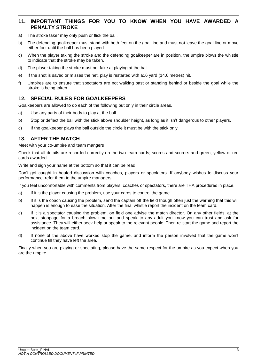## <span id="page-5-0"></span>**11. IMPORTANT THINGS FOR YOU TO KNOW WHEN YOU HAVE AWARDED A PENALTY STROKE**

- a) The stroke taker may only push or flick the ball.
- b) The defending goalkeeper must stand with both feet on the goal line and must not leave the goal line or move either foot until the ball has been played.
- c) When the player taking the stroke and the defending goalkeeper are in position, the umpire blows the whistle to indicate that the stroke may be taken.
- d) The player taking the stroke must not fake at playing at the ball.
- e) If the shot is saved or misses the net, play is restarted with a16 yard (14.6 metres) hit.
- f) Umpires are to ensure that spectators are not walking past or standing behind or beside the goal while the stroke is being taken.

## <span id="page-5-1"></span>**12. SPECIAL RULES FOR GOALKEEPERS**

Goalkeepers are allowed to do each of the following but only in their circle areas.

- a) Use any parts of their body to play at the ball.
- b) Stop or deflect the ball with the stick above shoulder height, as long as it isn't dangerous to other players.
- c) If the goalkeeper plays the ball outside the circle it must be with the stick only.

## <span id="page-5-2"></span>**13. AFTER THE MATCH**

Meet with your co-umpire and team mangers

Check that all details are recorded correctly on the two team cards; scores and scorers and green, yellow or red cards awarded.

Write and sign your name at the bottom so that it can be read.

Don't get caught in heated discussion with coaches, players or spectators. If anybody wishes to discuss your performance, refer them to the umpire managers.

If you feel uncomfortable with comments from players, coaches or spectators, there are THA procedures in place.

- a) If it is the player causing the problem, use your cards to control the game.
- b) If it is the coach causing the problem, send the captain off the field though often just the warning that this will happen is enough to ease the situation. After the final whistle report the incident on the team card.
- c) If it is a spectator causing the problem, on field one advise the match director. On any other fields, at the next stoppage for a breach blow time out and speak to any adult you know you can trust and ask for assistance. They will either seek help or speak to the relevant people. Then re-start the game and report the incident on the team card.
- d) If none of the above have worked stop the game, and inform the person involved that the game won't continue till they have left the area.

Finally when you are playing or spectating, please have the same respect for the umpire as you expect when you are the umpire.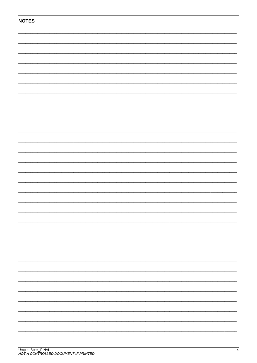| <b>NOTES</b> |  |  |  |  |  |  |  |
|--------------|--|--|--|--|--|--|--|
|              |  |  |  |  |  |  |  |
|              |  |  |  |  |  |  |  |
|              |  |  |  |  |  |  |  |
|              |  |  |  |  |  |  |  |
|              |  |  |  |  |  |  |  |
|              |  |  |  |  |  |  |  |
|              |  |  |  |  |  |  |  |
|              |  |  |  |  |  |  |  |
|              |  |  |  |  |  |  |  |
|              |  |  |  |  |  |  |  |
|              |  |  |  |  |  |  |  |
|              |  |  |  |  |  |  |  |
|              |  |  |  |  |  |  |  |
|              |  |  |  |  |  |  |  |
|              |  |  |  |  |  |  |  |
|              |  |  |  |  |  |  |  |
|              |  |  |  |  |  |  |  |
|              |  |  |  |  |  |  |  |
|              |  |  |  |  |  |  |  |
|              |  |  |  |  |  |  |  |
|              |  |  |  |  |  |  |  |
|              |  |  |  |  |  |  |  |
|              |  |  |  |  |  |  |  |
|              |  |  |  |  |  |  |  |
|              |  |  |  |  |  |  |  |
|              |  |  |  |  |  |  |  |
|              |  |  |  |  |  |  |  |
|              |  |  |  |  |  |  |  |
|              |  |  |  |  |  |  |  |
|              |  |  |  |  |  |  |  |
|              |  |  |  |  |  |  |  |
|              |  |  |  |  |  |  |  |
|              |  |  |  |  |  |  |  |